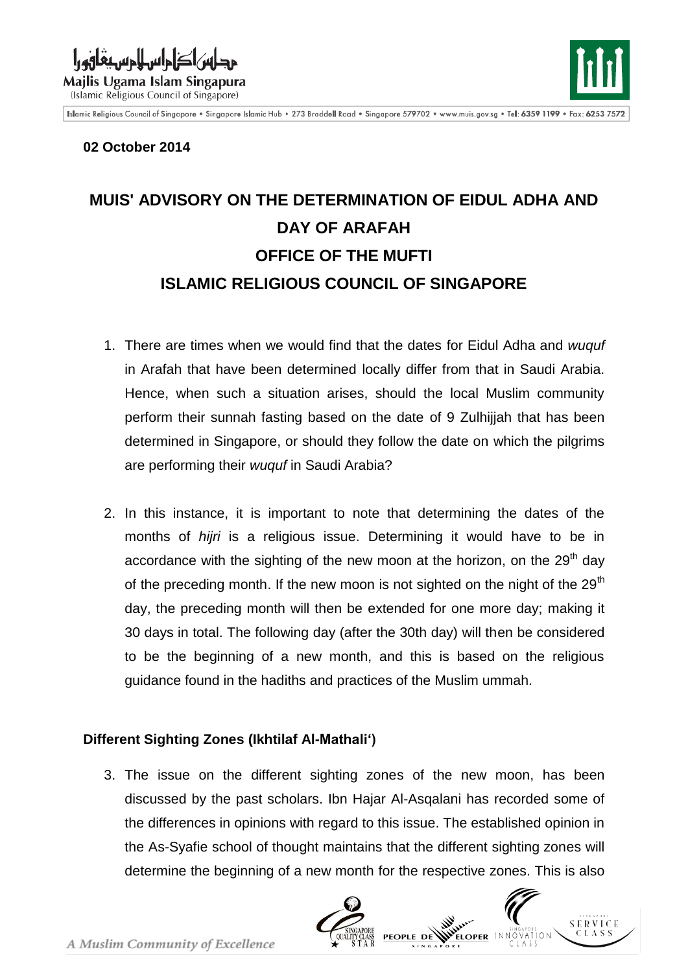والمالفية والمستقاف Majlis Ugama Islam Singapura





Islamic Religious Council of Singapore . Singapore Islamic Hub . 273 Braddell Road . Singapore 579702 . www.muis.gov.sg . Tel: 6359 1199 . Fax: 6253 7572

## **02 October 2014**

## **MUIS' ADVISORY ON THE DETERMINATION OF EIDUL ADHA AND DAY OF ARAFAH OFFICE OF THE MUFTI ISLAMIC RELIGIOUS COUNCIL OF SINGAPORE**

- 1. There are times when we would find that the dates for Eidul Adha and *wuquf* in Arafah that have been determined locally differ from that in Saudi Arabia. Hence, when such a situation arises, should the local Muslim community perform their sunnah fasting based on the date of 9 Zulhijjah that has been determined in Singapore, or should they follow the date on which the pilgrims are performing their *wuquf* in Saudi Arabia?
- 2. In this instance, it is important to note that determining the dates of the months of *hijri* is a religious issue. Determining it would have to be in accordance with the sighting of the new moon at the horizon, on the  $29<sup>th</sup>$  day of the preceding month. If the new moon is not sighted on the night of the  $29<sup>th</sup>$ day, the preceding month will then be extended for one more day; making it 30 days in total. The following day (after the 30th day) will then be considered to be the beginning of a new month, and this is based on the religious guidance found in the hadiths and practices of the Muslim ummah.

## **Different Sighting Zones (Ikhtilaf Al-Mathali')**

3. The issue on the different sighting zones of the new moon, has been discussed by the past scholars. Ibn Hajar Al-Asqalani has recorded some of the differences in opinions with regard to this issue. The established opinion in the As-Syafie school of thought maintains that the different sighting zones will determine the beginning of a new month for the respective zones. This is also

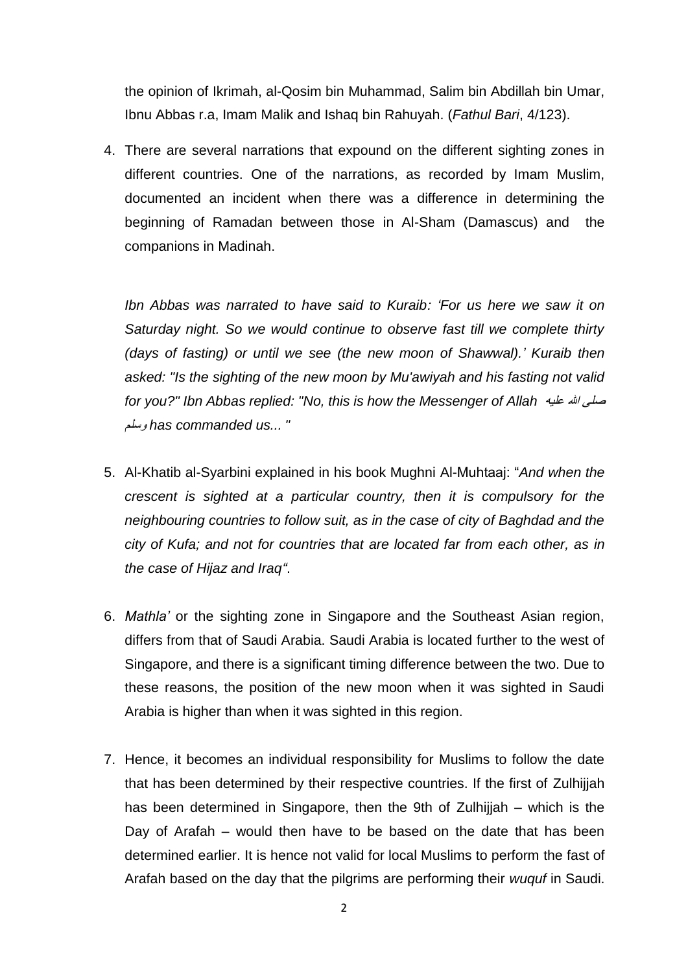the opinion of Ikrimah, al-Qosim bin Muhammad, Salim bin Abdillah bin Umar, Ibnu Abbas r.a, Imam Malik and Ishaq bin Rahuyah. (*Fathul Bari*, 4/123).

4. There are several narrations that expound on the different sighting zones in different countries. One of the narrations, as recorded by Imam Muslim, documented an incident when there was a difference in determining the beginning of Ramadan between those in Al-Sham (Damascus) and the companions in Madinah.

*Ibn Abbas was narrated to have said to Kuraib: 'For us here we saw it on Saturday night. So we would continue to observe fast till we complete thirty (days of fasting) or until we see (the new moon of Shawwal).' Kuraib then asked: "Is the sighting of the new moon by Mu'awiyah and his fasting not valid for you?" Ibn Abbas replied: "No, this is how the Messenger of Allah* عليه هللا صلى وسلم *has commanded us... "*

- 5. Al-Khatib al-Syarbini explained in his book Mughni Al-Muhtaaj: "*And when the crescent is sighted at a particular country, then it is compulsory for the neighbouring countries to follow suit, as in the case of city of Baghdad and the city of Kufa; and not for countries that are located far from each other, as in the case of Hijaz and Iraq"*.
- 6. *Mathla'* or the sighting zone in Singapore and the Southeast Asian region, differs from that of Saudi Arabia. Saudi Arabia is located further to the west of Singapore, and there is a significant timing difference between the two. Due to these reasons, the position of the new moon when it was sighted in Saudi Arabia is higher than when it was sighted in this region.
- 7. Hence, it becomes an individual responsibility for Muslims to follow the date that has been determined by their respective countries. If the first of Zulhijjah has been determined in Singapore, then the 9th of Zulhijjah – which is the Day of Arafah – would then have to be based on the date that has been determined earlier. It is hence not valid for local Muslims to perform the fast of Arafah based on the day that the pilgrims are performing their *wuquf* in Saudi.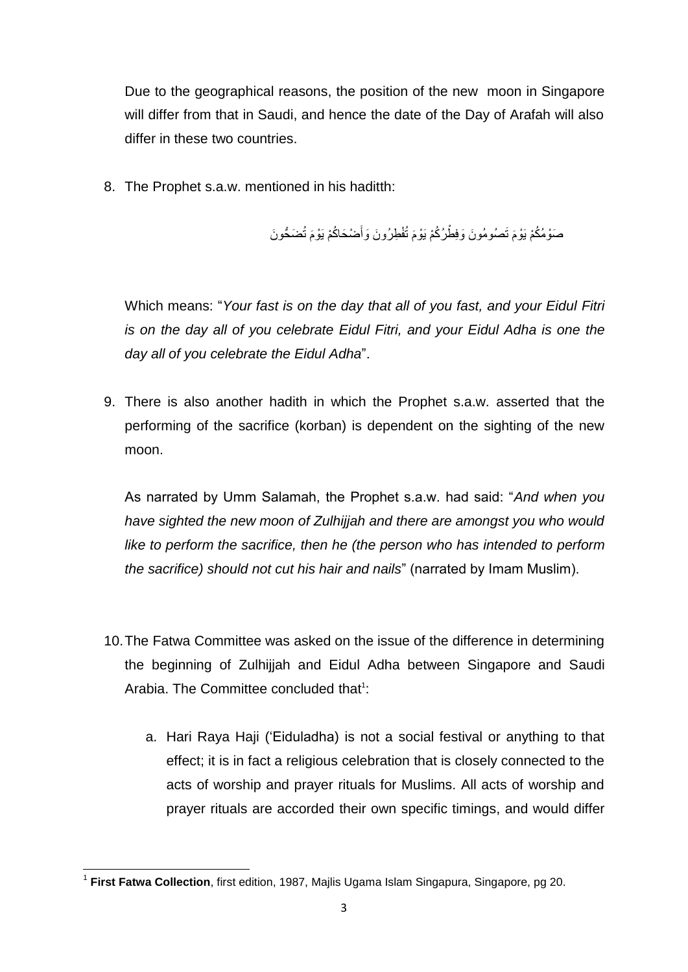Due to the geographical reasons, the position of the new moon in Singapore will differ from that in Saudi, and hence the date of the Day of Arafah will also differ in these two countries.

8. The Prophet s.a.w. mentioned in his haditth:

صَوْمُكُمْ يَوْمَ تَصُومُونَ وَفِطْرُكُمْ يَوْمَ تُفْطِرُونَ وَأَصْحَاكُمْ يَوْمَ تُضَحُّونَ َ

Which means: "*Your fast is on the day that all of you fast, and your Eidul Fitri is on the day all of you celebrate Eidul Fitri, and your Eidul Adha is one the day all of you celebrate the Eidul Adha*".

9. There is also another hadith in which the Prophet s.a.w. asserted that the performing of the sacrifice (korban) is dependent on the sighting of the new moon.

As narrated by Umm Salamah, the Prophet s.a.w. had said: "*And when you have sighted the new moon of Zulhijjah and there are amongst you who would like to perform the sacrifice, then he (the person who has intended to perform the sacrifice) should not cut his hair and nails*" (narrated by Imam Muslim).

- 10.The Fatwa Committee was asked on the issue of the difference in determining the beginning of Zulhijjah and Eidul Adha between Singapore and Saudi Arabia. The Committee concluded that<sup>1</sup>:
	- a. Hari Raya Haji ('Eiduladha) is not a social festival or anything to that effect; it is in fact a religious celebration that is closely connected to the acts of worship and prayer rituals for Muslims. All acts of worship and prayer rituals are accorded their own specific timings, and would differ

 1 **First Fatwa Collection**, first edition, 1987, Majlis Ugama Islam Singapura, Singapore, pg 20.